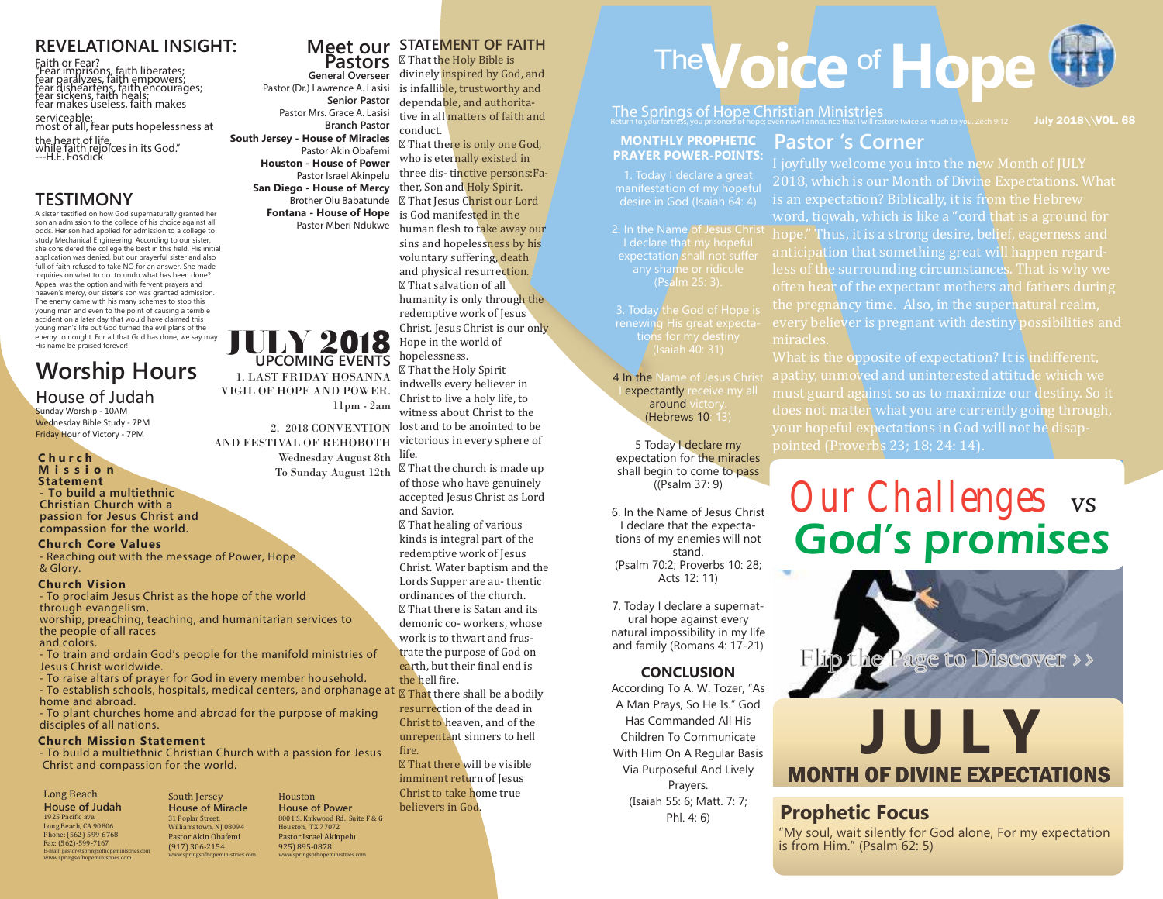#### **REVELATIONAL INSIGHT:**

Faith or Fear?<br>"Fear imprisons, faith liberates;<br>fear paralyzes, faith empowers;<br>fear disheartens, faith heals;<br>fear sickens, faith makes<br>fear makes useless, faith makes

serviceable; most of all, fear puts hopelessness at

the heart of life,<br>while faith rejoices in its God."<br>---H.E. Fosdick

#### **TESTIMONY**

A sister testified on how God supernaturally granted her son an admission to the college of his choice against all odds. Her son had applied for admission to a college to study Mechanical Engineering. According to our sister, she considered the college the best in this field. His initial application was denied, but our prayerful sister and also full of faith refused to take NO for an answer. She made inquiries on what to do to undo what has been done? Appeal was the option and with fervent prayers and heaven's mercy, our sister's son was granted admission. The enemy came with his many schemes to stop this young man and even to the point of causing a terrible accident on a later day that would have claimed this young man's life but God turned the evil plans of the enemy to nought. For all that God has done, we say may His name be praised forever!!

# **Worship Hours**

#### House of Judah Sunday Worship - 10AM

Wednesday Bible Study - 7PM Friday Hour of Victory - 7PM

#### **C h u r c h M i s s i o n**

**Statement - To build a multiethnic Christian Church with a passion for Jesus Christ and compassion for the world.**

#### **Church Core Values**

- Reaching out with the message of Power, Hope & Glory.

#### **Church Vision**

- To proclaim Jesus Christ as the hope of the world through evangelism,

worship, preaching, teaching, and humanitarian services to the people of all races and colors.

- To train and ordain God's people for the manifold ministries of Jesus Christ worldwide.

- To raise altars of prayer for God in every member household. - To establish schools, hospitals, medical centers, and orphanage at home and abroad.

- To plant churches home and abroad for the purpose of making disciples of all nations.

#### **Church Mission Statement**

- To build a multiethnic Christian Church with a passion for Jesus Christ and compassion for the world.

#### Long Beach **House of Judah** 1925 Pacific ave. Long Beach, CA 90806 Phone: (562)-599-6768 Fax: (562)-599-7167 E-mail: pastor@springsofhopemin

www.springso�hopeministries.com

South Jersey **House of Miracle** 31 Poplar Street. Williamstown, NJ 08094 Pastor Akin Obafemi (917) 306-2154 www.springso�hopeministries.com Houston **House of Power** 8001 S. Kirkwood Rd. Suite F & G Houston, TX 77072 Pastor Israel Akinpelu 925) 895-0878 www.springso�hopeministries.com

JULY 2018 **UPCOMING EVENTS** 1. LAST FRIDAY HOSANNA VIGIL OF HOPE AND POWER.

11pm - 2am

Pastor Akin Obafemi **Houston - House of Power** Pastor Israel Akinpelu **San Diego - House of Mercy** Brother Olu Babatunde **Fontana - House of Hope** Pastor Mberi Ndukwe

2. 2018 CONVENTION

To Sunday August 12th

#### **Meet our STATEMENT OF FAITH**

**General Overseer Pastors** Pastor (Dr.) Lawrence A. Lasisi **Senior Pastor** Pastor Mrs. Grace A. Lasisi **Branch Pastor South Jersey - House of Miracles** That the Holy Bible is divinely inspired by God, and is infallible, trustworthy and dependable, and authoritative in all matters of faith and conduct.

 That there is only one God, who is eternally existed in three dis- tinctive persons:Father, Son and Holy Spirit. That Jesus Christ our Lord is God manifested in the human flesh to take away our sins and hopelessness by his voluntary suffering, death and physical resurrection. That salvation of all humanity is only through the redemptive work of Jesus Christ. Jesus Christ is our only Hope in the world of hopelessness.

AND FESTIVAL OF REHOBOTH victorious in every sphere of Wednesday August 8th life. That the Holy Spirit indwells every believer in Christ to live a holy life, to witness about Christ to the lost and to be anointed to be

 That the church is made up of those who have genuinely accepted Jesus Christ as Lord and Savior.

 That healing of various kinds is integral part of the redemptive work of Jesus Christ. Water baptism and the Lords Supper are au- thentic ordinances of the church. That there is Satan and its demonic co- workers, whose work is to thwart and frustrate the purpose of God on earth, but their final end is the hell �ire.

 That there shall be a bodily resurrection of the dead in Christ to heaven, and of the unrepentant sinners to hell fire.

 That there will be visible imminent return of Jesus Christ to take home true believers in God.

# The Voice of Hope

The Springs of Hope Christian Ministries<br>Return to your fortress, you prisoners of hope; even now I announce that I will restore twice as much to you. Zech 9:12

#### **MONTHLY PROPHETIC PRAYER POWER-POINTS:**

1. Today I declare a great manifestation of my hopeful

I declare that my hopeful expectation shall not suffer (Psalm 25: 3).

4 In the Name of Jesus Christ expectantly receive my all around victory. (Hebrews 10: 13)

5 Today I declare my expectation for the miracles shall begin to come to pass ((Psalm 37: 9)

6. In the Name of Jesus Christ I declare that the expectations of my enemies will not stand. (Psalm 70:2; Proverbs 10: 28; Acts 12: 11)

7. Today I declare a supernatural hope against every natural impossibility in my life and family (Romans 4: 17-21)

#### **CONCLUSION**

According To A. W. Tozer, "As A Man Prays, So He Is." God Has Commanded All His Children To Communicate With Him On A Regular Basis Via Purposeful And Lively Prayers. (Isaiah 55: 6; Matt. 7: 7; Phl. 4: 6)

## **Pastor 's Corner**

I joyfully welcome you into the new Month of JULY 2018, which is our Month of Divine Expectations. What is an expectation? Biblically, it is from the Hebrew word, tiqwah, which is like a "cord that is a ground for hope." Thus, it is a strong desire, belief, eagerness and anticipation that something great will happen regardless of the surrounding circumstances. That is why we often hear of the expectant mothers and fathers during the pregnancy time. Also, in the supernatural realm, every believer is pregnant with destiny possibilities and miracles.

July 2018\\VOL. 68

What is the opposite of expectation? It is indifferent, apathy, unmoved and uninterested attitude which we must guard against so as to maximize our destiny. So it does not matter what you are currently going through, your hopeful expectations in God will not be disappointed (Proverbs 23; 18; 24: 14).

# **Our Challenges** vs God's promises



## MONTH OF DIVINE EXPECTATIONS

#### **Prophetic Focus**

"My soul, wait silently for God alone, For my expectation is from Him." (Psalm 62: 5)